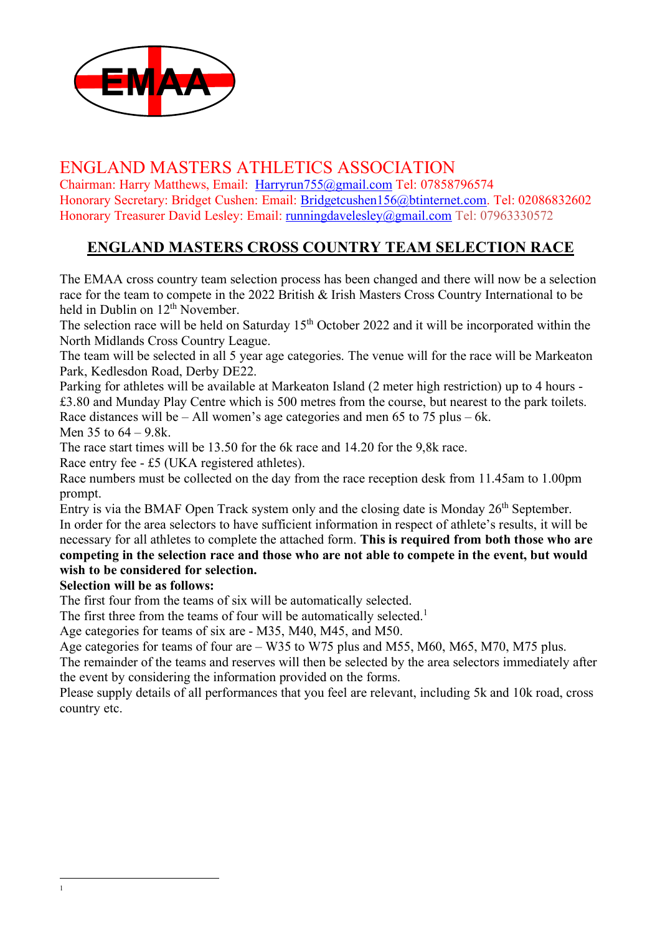

## ENGLAND MASTERS ATHLETICS ASSOCIATION

Chairman: Harry Matthews, Email: Harryrun755@gmail.com Tel: 07858796574 Honorary Secretary: Bridget Cushen: Email: Bridgetcushen156@btinternet.com. Tel: 02086832602 Honorary Treasurer David Lesley: Email: runningdavelesley@gmail.com Tel: 07963330572

## **ENGLAND MASTERS CROSS COUNTRY TEAM SELECTION RACE**

The EMAA cross country team selection process has been changed and there will now be a selection race for the team to compete in the 2022 British & Irish Masters Cross Country International to be held in Dublin on 12<sup>th</sup> November.

The selection race will be held on Saturday  $15<sup>th</sup>$  October 2022 and it will be incorporated within the North Midlands Cross Country League.

The team will be selected in all 5 year age categories. The venue will for the race will be Markeaton Park, Kedlesdon Road, Derby DE22.

Parking for athletes will be available at Markeaton Island (2 meter high restriction) up to 4 hours - £3.80 and Munday Play Centre which is 500 metres from the course, but nearest to the park toilets. Race distances will be – All women's age categories and men 65 to 75 plus – 6k. Men 35 to 64 – 9.8k.

The race start times will be 13.50 for the 6k race and 14.20 for the 9,8k race.

Race entry fee - £5 (UKA registered athletes).

Race numbers must be collected on the day from the race reception desk from 11.45am to 1.00pm prompt.

Entry is via the BMAF Open Track system only and the closing date is Monday  $26<sup>th</sup>$  September. In order for the area selectors to have sufficient information in respect of athlete's results, it will be necessary for all athletes to complete the attached form. **This is required from both those who are** 

**competing in the selection race and those who are not able to compete in the event, but would wish to be considered for selection.** 

## **Selection will be as follows:**

The first four from the teams of six will be automatically selected.

The first three from the teams of four will be automatically selected.<sup>1</sup>

Age categories for teams of six are - M35, M40, M45, and M50.

Age categories for teams of four are – W35 to W75 plus and M55, M60, M65, M70, M75 plus.

The remainder of the teams and reserves will then be selected by the area selectors immediately after the event by considering the information provided on the forms.

Please supply details of all performances that you feel are relevant, including 5k and 10k road, cross country etc.